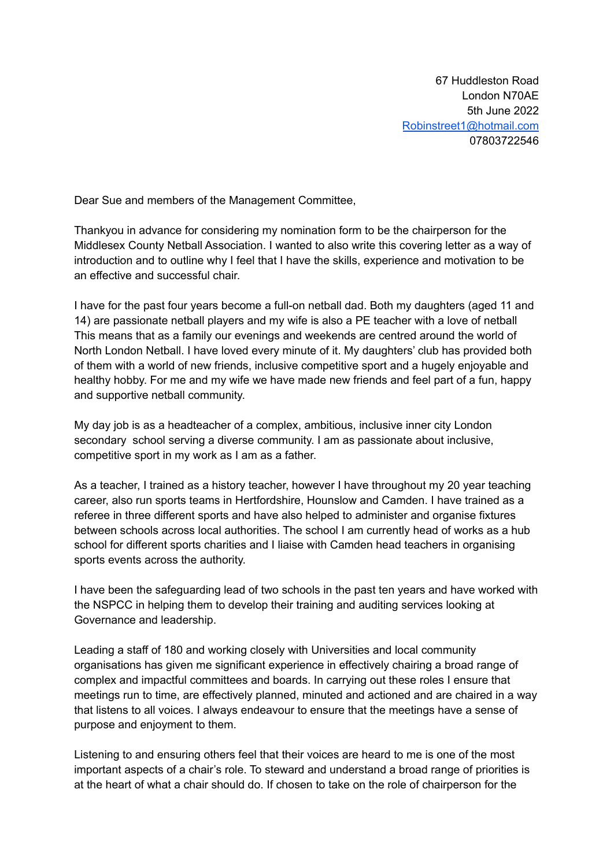67 Huddleston Road London N70AE 5th June 2022 [Robinstreet1@hotmail.com](mailto:Robinstreet1@hotmail.com) 07803722546

Dear Sue and members of the Management Committee,

Thankyou in advance for considering my nomination form to be the chairperson for the Middlesex County Netball Association. I wanted to also write this covering letter as a way of introduction and to outline why I feel that I have the skills, experience and motivation to be an effective and successful chair.

I have for the past four years become a full-on netball dad. Both my daughters (aged 11 and 14) are passionate netball players and my wife is also a PE teacher with a love of netball This means that as a family our evenings and weekends are centred around the world of North London Netball. I have loved every minute of it. My daughters' club has provided both of them with a world of new friends, inclusive competitive sport and a hugely enjoyable and healthy hobby. For me and my wife we have made new friends and feel part of a fun, happy and supportive netball community.

My day job is as a headteacher of a complex, ambitious, inclusive inner city London secondary school serving a diverse community. I am as passionate about inclusive, competitive sport in my work as I am as a father.

As a teacher, I trained as a history teacher, however I have throughout my 20 year teaching career, also run sports teams in Hertfordshire, Hounslow and Camden. I have trained as a referee in three different sports and have also helped to administer and organise fixtures between schools across local authorities. The school I am currently head of works as a hub school for different sports charities and I liaise with Camden head teachers in organising sports events across the authority.

I have been the safeguarding lead of two schools in the past ten years and have worked with the NSPCC in helping them to develop their training and auditing services looking at Governance and leadership.

Leading a staff of 180 and working closely with Universities and local community organisations has given me significant experience in effectively chairing a broad range of complex and impactful committees and boards. In carrying out these roles I ensure that meetings run to time, are effectively planned, minuted and actioned and are chaired in a way that listens to all voices. I always endeavour to ensure that the meetings have a sense of purpose and enjoyment to them.

Listening to and ensuring others feel that their voices are heard to me is one of the most important aspects of a chair's role. To steward and understand a broad range of priorities is at the heart of what a chair should do. If chosen to take on the role of chairperson for the